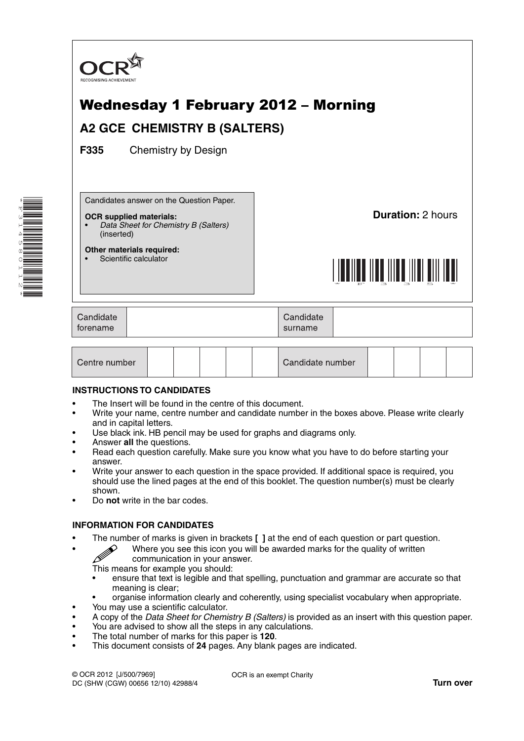

| Centre number | Candidate number |  |
|---------------|------------------|--|
|---------------|------------------|--|

#### **INSTRUCTIONS TO CANDIDATES**

- The Insert will be found in the centre of this document.
- Write your name, centre number and candidate number in the boxes above. Please write clearly and in capital letters.
- Use black ink. HB pencil may be used for graphs and diagrams only.
- Answer **all** the questions.
- Read each question carefully. Make sure you know what you have to do before starting your answer.
- Write your answer to each question in the space provided. If additional space is required, you should use the lined pages at the end of this booklet. The question number(s) must be clearly shown.
- Do **not** write in the bar codes.

#### **INFORMATION FOR CANDIDATES**

- 
- The number of marks is given in brackets **[ ]** at the end of each question or part question.<br>Where you see this icon you will be awarded marks for the quality of written communication in your ancuration • Where you see this icon you will be awarded marks for the quality of written communication in your answer.
	- This means for example you should:
	- ensure that text is legible and that spelling, punctuation and grammar are accurate so that meaning is clear;
	- organise information clearly and coherently, using specialist vocabulary when appropriate.
- You may use a scientific calculator.
- A copy of the *Data Sheet for Chemistry B (Salters)* is provided as an insert with this question paper.
- You are advised to show all the steps in any calculations.
- The total number of marks for this paper is **120**.
- This document consists of **24** pages. Any blank pages are indicated.

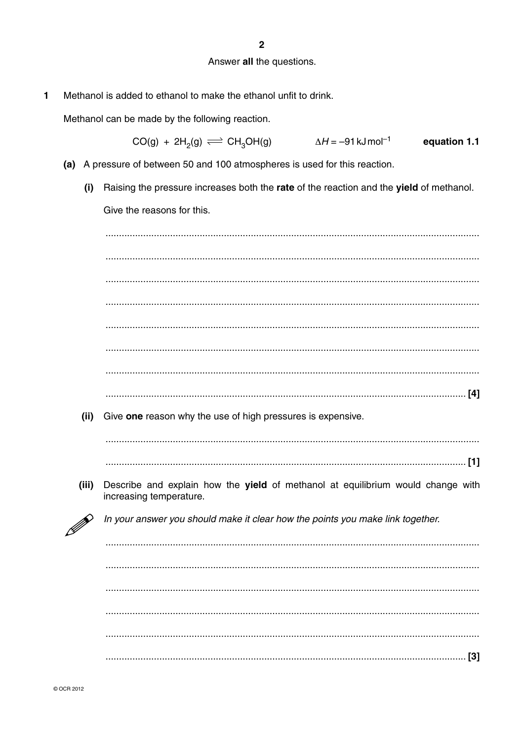#### $\blacksquare$ Methanol is added to ethanol to make the ethanol unfit to drink.

Methanol can be made by the following reaction.

 $CO(g) + 2H_2(g) \rightleftharpoons CH_3OH(g)$  $\Delta H = -91$  kJ mol<sup>-1</sup> equation 1.1

- (a) A pressure of between 50 and 100 atmospheres is used for this reaction.
	- Raising the pressure increases both the rate of the reaction and the yield of methanol.  $(i)$ Give the reasons for this

 $(ii)$ Give one reason why the use of high pressures is expensive. (iii) Describe and explain how the yield of methanol at equilibrium would change with increasing temperature. In your answer you should make it clear how the points you make link together.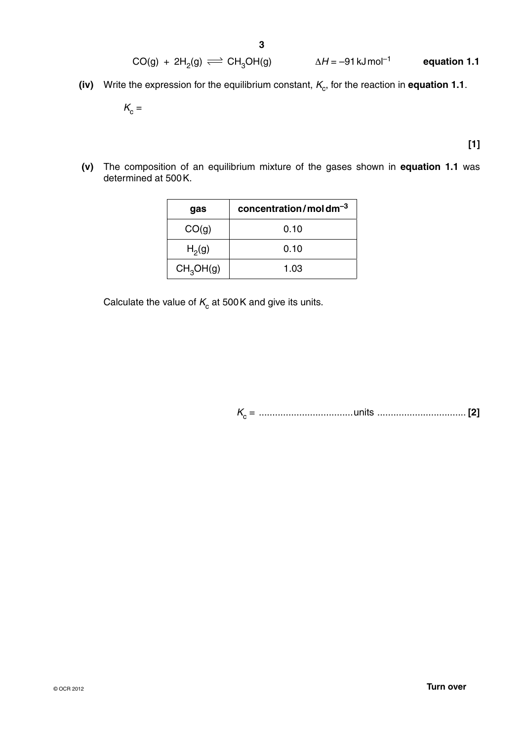| $CO(g) + 2H_2(g) \rightleftharpoons CH_3OH(g)$ | $\Delta H = -91$ kJ mol <sup>-1</sup> | equation 1.1 |
|------------------------------------------------|---------------------------------------|--------------|
|------------------------------------------------|---------------------------------------|--------------|

(iv) Write the expression for the equilibrium constant,  $K_c$ , for the reaction in **equation 1.1**.

 $K_c =$ 

**[1]**

 **(v)** The composition of an equilibrium mixture of the gases shown in **equation 1.1** was determined at 500 K.

| gas                   | concentration/moldm <sup>-3</sup> |
|-----------------------|-----------------------------------|
| CO(g)                 | 0.10                              |
| H <sub>2</sub> (g)    | 0.10                              |
| CH <sub>3</sub> OH(g) | 1.03                              |

Calculate the value of  $K_c$  at 500 K and give its units.

*K*c = ...................................units ................................. **[2]**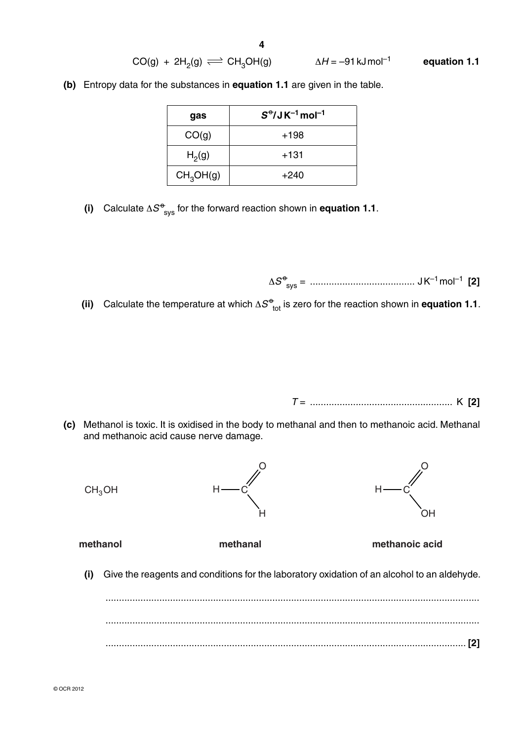# $CO(g) + 2H_2(g) \rightleftharpoons CH_3OH(g)$   $\Delta H = -91 \text{ kJ} \text{ mol}^{-1}$  **equation 1.1**

 **(b)** Entropy data for the substances in **equation 1.1** are given in the table.

| gas                   | $S^{\oplus}$ /JK <sup>-1</sup> mol <sup>-1</sup> |
|-----------------------|--------------------------------------------------|
| CO(g)                 | $+198$                                           |
| H <sub>2</sub> (g)    | $+131$                                           |
| CH <sub>3</sub> OH(g) | $+240$                                           |

**(i)** Calculate  $\Delta S^{\Theta}_{\text{sys}}$  for the forward reaction shown in **equation 1.1**.

Δ*S* –o– sys = ....................................... J K–1 mol–1 **[2]**

(ii) Calculate the temperature at which  $\Delta S_{\text{ tot}}^{\text{o}}$  is zero for the reaction shown in **equation 1.1**.

*T* = ..................................................... K **[2]**

 **(c)** Methanol is toxic. It is oxidised in the body to methanal and then to methanoic acid. Methanal and methanoic acid cause nerve damage.

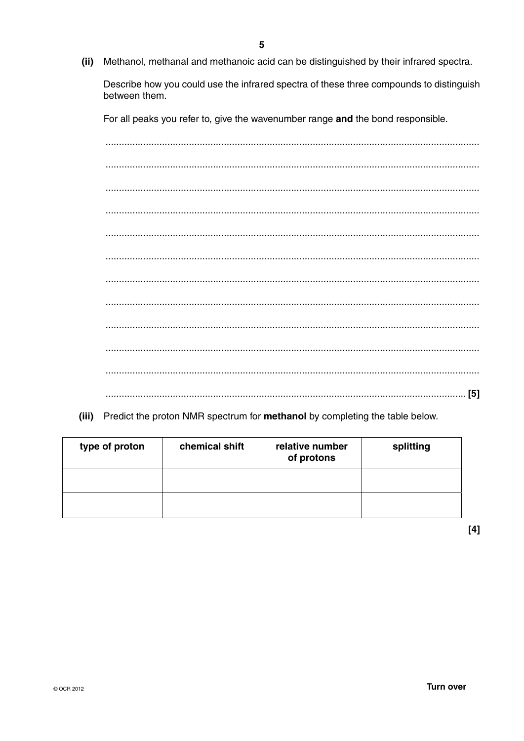(ii) Methanol, methanal and methanoic acid can be distinguished by their infrared spectra.

Describe how you could use the infrared spectra of these three compounds to distinguish between them.

For all peaks you refer to, give the wavenumber range and the bond responsible.

(iii) Predict the proton NMR spectrum for methanol by completing the table below.

| type of proton | chemical shift | relative number<br>of protons | splitting |
|----------------|----------------|-------------------------------|-----------|
|                |                |                               |           |
|                |                |                               |           |

 $[4]$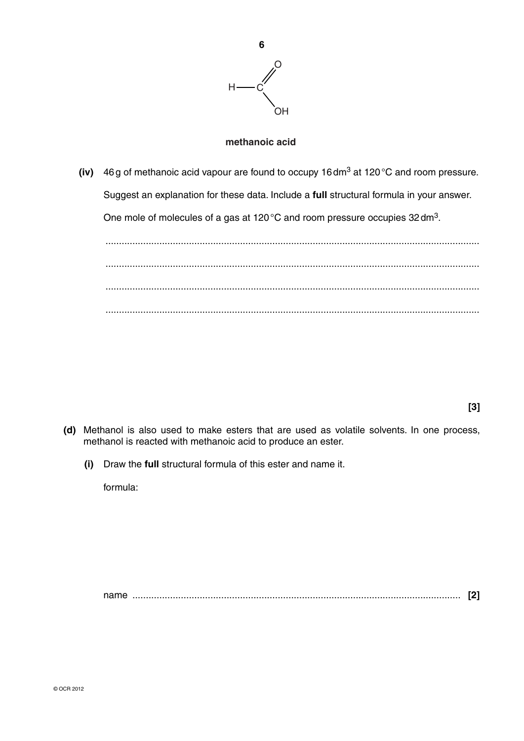

## **methanoic acid**

 **(iv)** 46 g of methanoic acid vapour are found to occupy 16 dm3 at 120 °C and room pressure. Suggest an explanation for these data. Include a **full** structural formula in your answer.

One mole of molecules of a gas at 120 °C and room pressure occupies 32 dm3.

 ........................................................................................................................................... ........................................................................................................................................... ........................................................................................................................................... ...........................................................................................................................................

- **(d)** Methanol is also used to make esters that are used as volatile solvents. In one process, methanol is reacted with methanoic acid to produce an ester.
	- **(i)** Draw the **full** structural formula of this ester and name it.

formula:

name .......................................................................................................................... **[2]**

**[3]**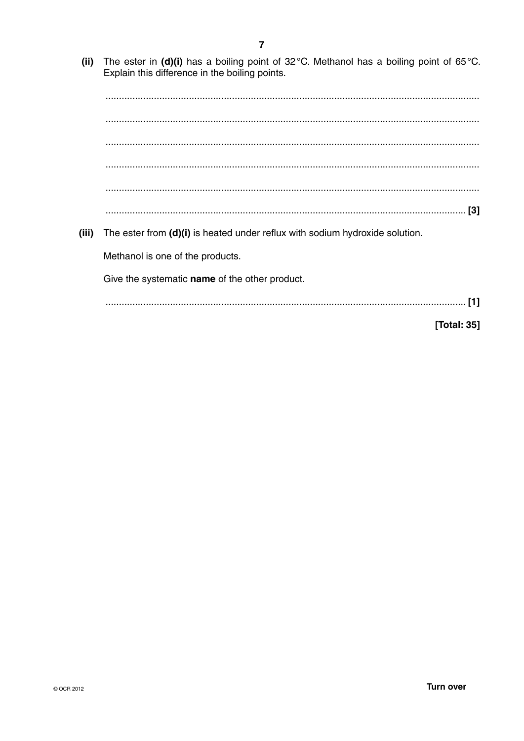$(ii)$ The ester in (d)(i) has a boiling point of  $32^{\circ}$ C. Methanol has a boiling point of 65 $^{\circ}$ C. Explain this difference in the boiling points.

 $(iii)$ The ester from (d)(i) is heated under reflux with sodium hydroxide solution. Methanol is one of the products. Give the systematic name of the other product. [Total: 35]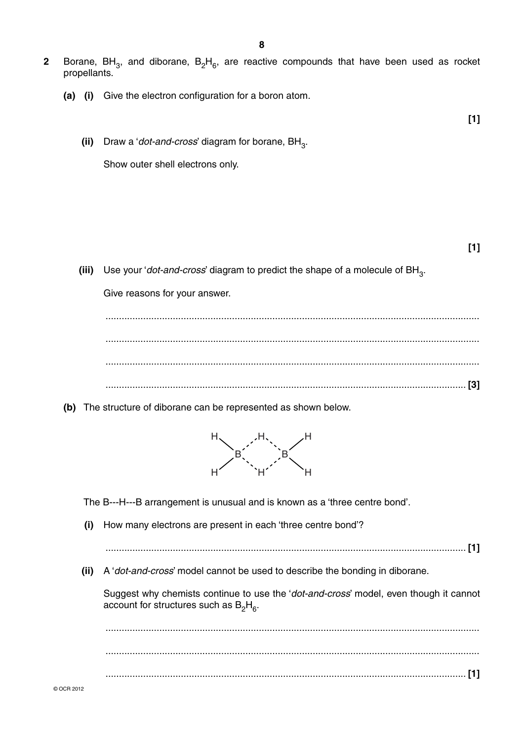**2** Borane, BH<sub>3</sub>, and diborane,  $B_2H_6$ , are reactive compounds that have been used as rocket propellants.

**[1]**

**[1]**

- **(a) (i)** Give the electron configuration for a boron atom.
	- **(ii)** Draw a '*dot-and-cross*' diagram for borane, BH<sub>2</sub>. Show outer shell electrons only.

**(iii)** Use your '*dot-and-cross*' diagram to predict the shape of a molecule of BH<sub>3</sub>.

Give reasons for your answer.

 ........................................................................................................................................... ........................................................................................................................................... ........................................................................................................................................... ...................................................................................................................................... **[3]**

 **(b)** The structure of diborane can be represented as shown below.



The B---H---B arrangement is unusual and is known as a 'three centre bond'.

- **(i)** How many electrons are present in each 'three centre bond'?
- ...................................................................................................................................... **[1]**
- **(ii)** A '*dot-and-cross*' model cannot be used to describe the bonding in diborane.

Suggest why chemists continue to use the '*dot-and-cross*' model, even though it cannot account for structures such as  $B_2H_6$ .

 ........................................................................................................................................... ........................................................................................................................................... ...................................................................................................................................... **[1]**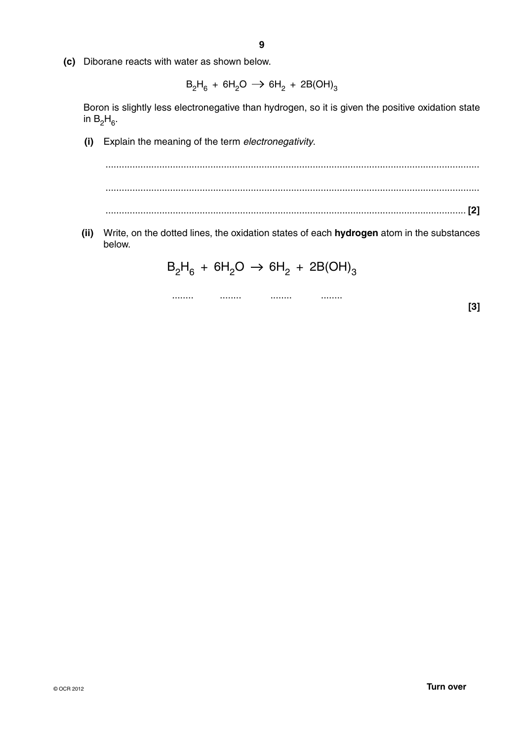**(c)** Diborane reacts with water as shown below.

 $B_2H_6 + 6H_2O \rightarrow 6H_2 + 2B(OH)_3$ 

Boron is slightly less electronegative than hydrogen, so it is given the positive oxidation state in  $B_2H_6$ .

 **(i)** Explain the meaning of the term *electronegativity*.

 ........................................................................................................................................... ........................................................................................................................................... ...................................................................................................................................... **[2]**

 **(ii)** Write, on the dotted lines, the oxidation states of each **hydrogen** atom in the substances below.

 $B_2H_6 + 6H_2O \rightarrow 6H_2 + 2B(OH)_3$ 

........ ........ ........ ........

**[3]**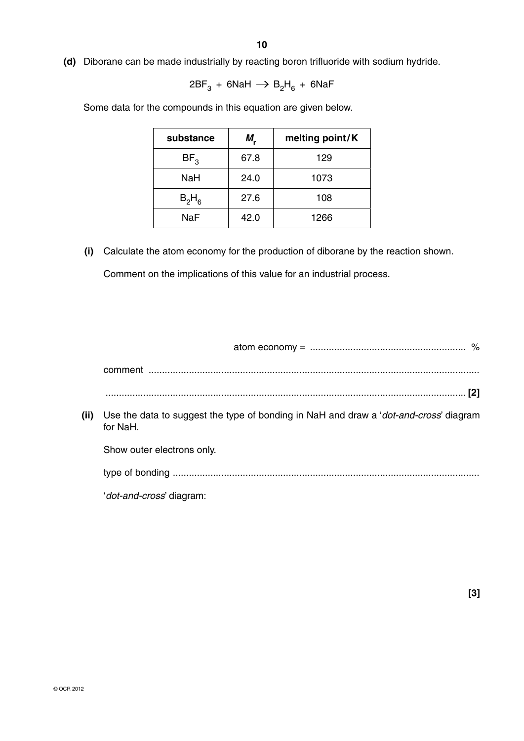**(d)** Diborane can be made industrially by reacting boron trifluoride with sodium hydride.

$$
2BF_3 + 6NaH \rightarrow B_2H_6 + 6NaF
$$

Some data for the compounds in this equation are given below.

| substance       | М,   | melting point/K |
|-----------------|------|-----------------|
| BF <sub>3</sub> | 67.8 | 129             |
| NaH             | 24.0 | 1073            |
| $B_2H_6$        | 27.6 | 108             |
| NaF             | 42.0 | 1266            |

 **(i)** Calculate the atom economy for the production of diborane by the reaction shown.

Comment on the implications of this value for an industrial process.

 atom economy = .......................................................... % comment ........................................................................................................................... ...................................................................................................................................... **[2] (ii)** Use the data to suggest the type of bonding in NaH and draw a '*dot-and-cross*' diagram for NaH. Show outer electrons only. type of bonding .................................................................................................................. '*dot-and-cross*' diagram: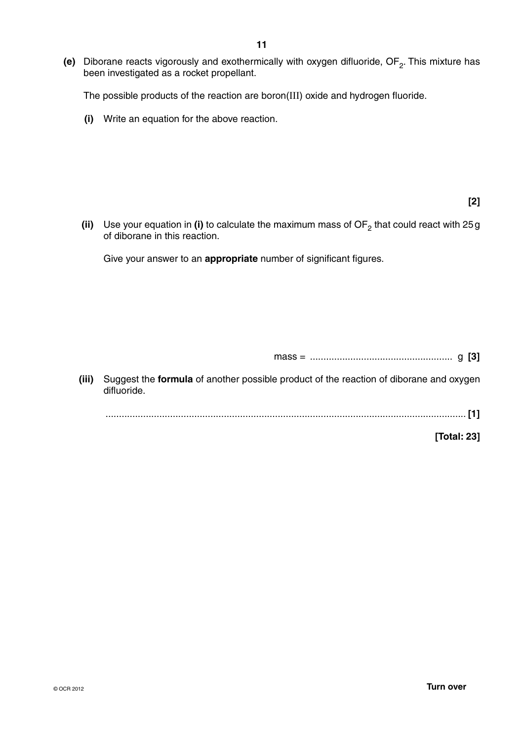**(e)** Diborane reacts vigorously and exothermically with oxygen difluoride, OF<sub>2</sub>. This mixture has been investigated as a rocket propellant.

The possible products of the reaction are boron(III) oxide and hydrogen fluoride.

 **(i)** Write an equation for the above reaction.

**[2]**

**(ii)** Use your equation in (i) to calculate the maximum mass of  $OF_2$  that could react with 25 g of diborane in this reaction.

Give your answer to an **appropriate** number of significant figures.

mass = ..................................................... g **[3]**

 **(iii)** Suggest the **formula** of another possible product of the reaction of diborane and oxygen difluoride.

...................................................................................................................................... **[1]**

**[Total: 23]**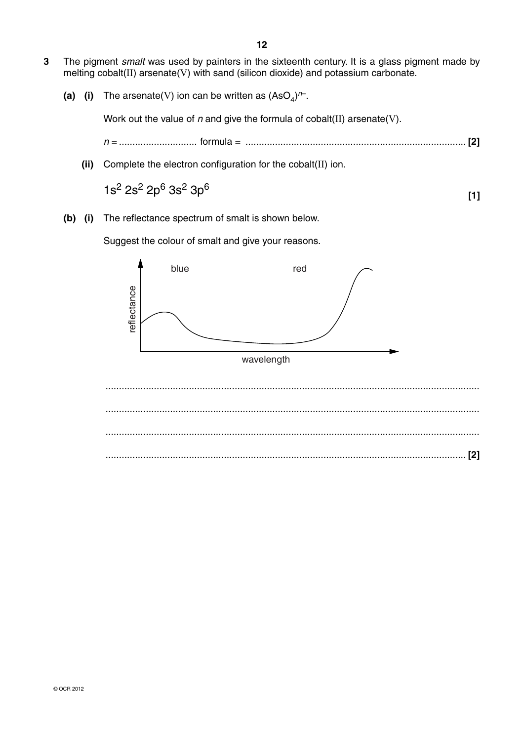- **3** The pigment *smalt* was used by painters in the sixteenth century. It is a glass pigment made by melting cobalt(II) arsenate(V) with sand (silicon dioxide) and potassium carbonate.
- **(a)** (i) The arsenate(V) ion can be written as  $(ASO<sub>4</sub>)<sup>n</sup>$ .

Work out the value of *n* and give the formula of cobalt(II) arsenate(V).

*n* = ............................. formula = .................................................................................. **[2]**

 **(ii)** Complete the electron configuration for the cobalt(II) ion.

$$
1s^2 2s^2 2p^6 3s^2 3p^6
$$
 [1]

 **(b) (i)** The reflectance spectrum of smalt is shown below.

Suggest the colour of smalt and give your reasons.



...................................................................................................................................... **[2]**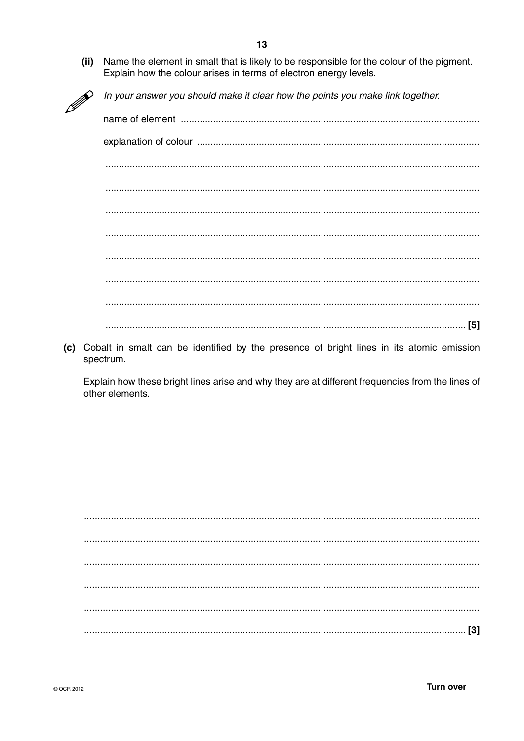(ii) Name the element in smalt that is likely to be responsible for the colour of the pigment. Explain how the colour arises in terms of electron energy levels.

| In your answer you should make it clear how the points you make link together. |
|--------------------------------------------------------------------------------|
|                                                                                |
|                                                                                |
|                                                                                |
|                                                                                |
|                                                                                |
|                                                                                |
|                                                                                |
|                                                                                |
|                                                                                |
|                                                                                |

(c) Cobalt in smalt can be identified by the presence of bright lines in its atomic emission spectrum.

Explain how these bright lines arise and why they are at different frequencies from the lines of other elements.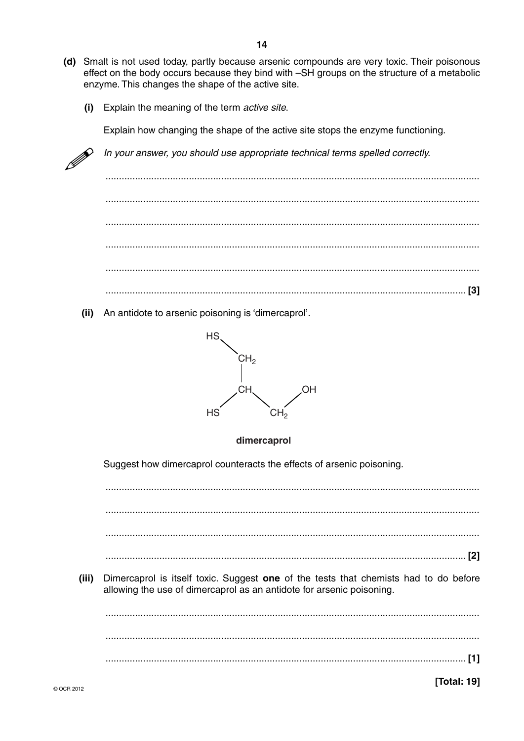- (d) Smalt is not used today, partly because arsenic compounds are very toxic. Their poisonous effect on the body occurs because they bind with -SH groups on the structure of a metabolic enzyme. This changes the shape of the active site.
	- Explain the meaning of the term active site.  $(i)$

Explain how changing the shape of the active site stops the enzyme functioning.



© OCR 2012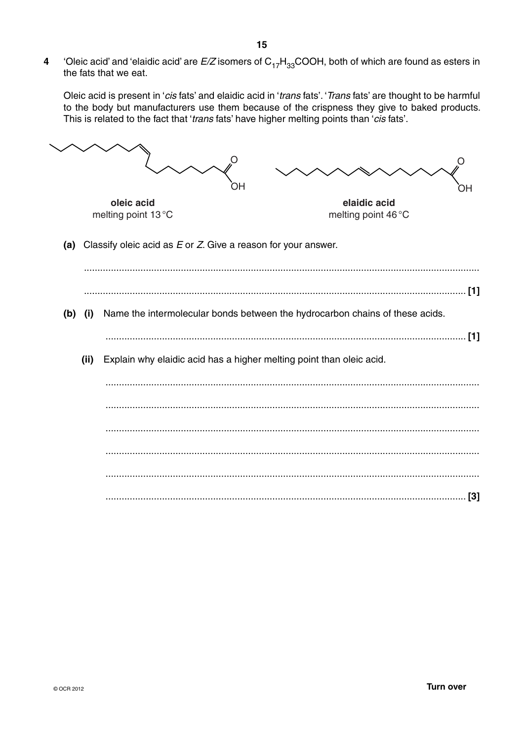**4** 'Oleic acid' and 'elaidic acid' are *E*/Z isomers of C<sub>17</sub>H<sub>33</sub>COOH, both of which are found as esters in the fats that we eat.

Oleic acid is present in '*cis* fats' and elaidic acid in '*trans* fats'. '*Trans* fats' are thought to be harmful to the body but manufacturers use them because of the crispness they give to baked products. This is related to the fact that '*trans* fats' have higher melting points than '*cis* fats'.

O O OH OH **oleic acid** melting point 13 °C **elaidic acid** melting point 46 °C  **(a)** Classify oleic acid as *E* or *Z*. Give a reason for your answer. ................................................................................................................................................... .............................................................................................................................................. **[1] (b) (i)** Name the intermolecular bonds between the hydrocarbon chains of these acids. ...................................................................................................................................... **[1] (ii)** Explain why elaidic acid has a higher melting point than oleic acid. ........................................................................................................................................... ........................................................................................................................................... ........................................................................................................................................... ........................................................................................................................................... ........................................................................................................................................... ...................................................................................................................................... **[3]**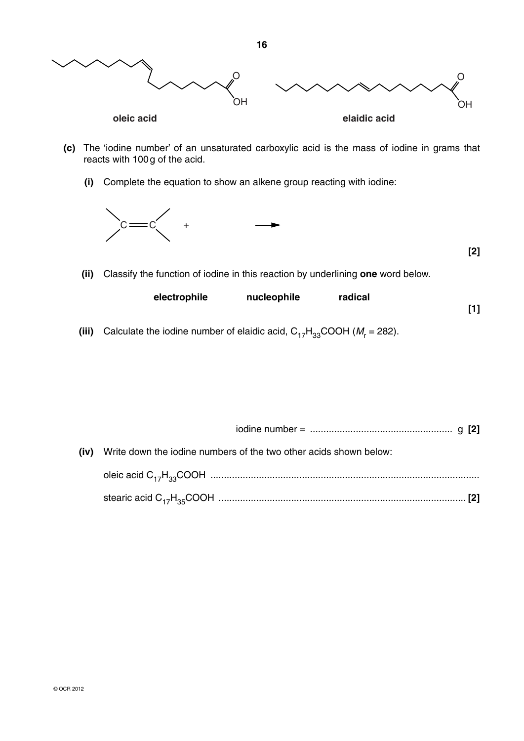

- **(c)** The 'iodine number' of an unsaturated carboxylic acid is the mass of iodine in grams that reacts with 100 g of the acid.
	- **(i)** Complete the equation to show an alkene group reacting with iodine:



 **(ii)** Classify the function of iodine in this reaction by underlining **one** word below.

| electrophile | nucleophile | radical |       |
|--------------|-------------|---------|-------|
|              |             |         | $[1]$ |

(iii) Calculate the iodine number of elaidic acid,  $C_{17}H_{33}$ COOH ( $M_r$  = 282).

| (iv) Write down the iodine numbers of the two other acids shown below: |
|------------------------------------------------------------------------|
|                                                                        |
|                                                                        |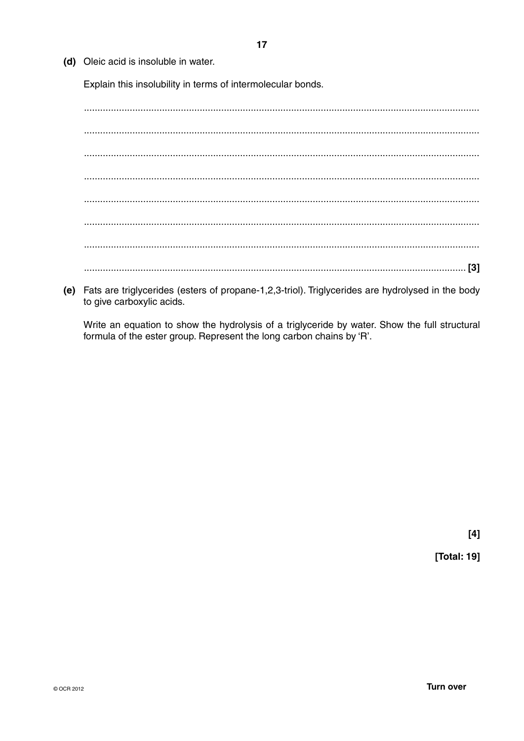(d) Oleic acid is insoluble in water.

Explain this insolubility in terms of intermolecular bonds.

(e) Fats are triglycerides (esters of propane-1,2,3-triol). Triglycerides are hydrolysed in the body to give carboxylic acids.

Write an equation to show the hydrolysis of a triglyceride by water. Show the full structural formula of the ester group. Represent the long carbon chains by 'R'.

 $[4]$ 

[Total: 19]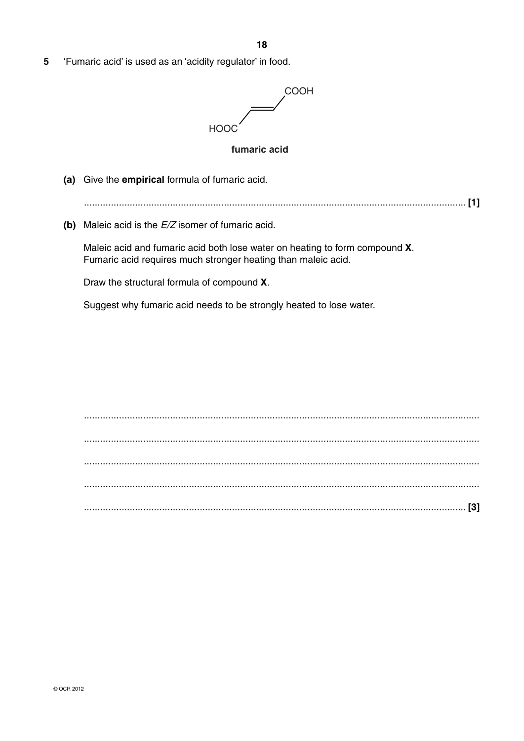18

'Fumaric acid' is used as an 'acidity regulator' in food. 5



## fumaric acid

(a) Give the empirical formula of fumaric acid.

(b) Maleic acid is the  $E/Z$  isomer of fumaric acid.

Maleic acid and fumaric acid both lose water on heating to form compound X. Fumaric acid requires much stronger heating than maleic acid.

Draw the structural formula of compound X.

Suggest why fumaric acid needs to be strongly heated to lose water.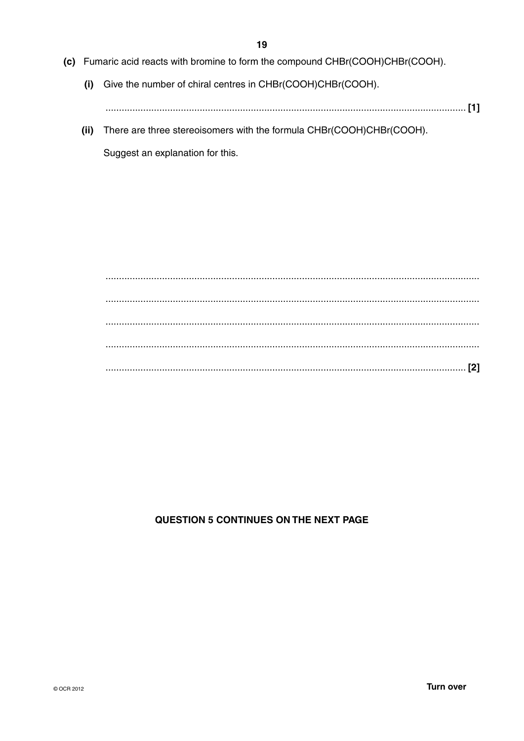- (c) Fumaric acid reacts with bromine to form the compound CHBr(COOH)CHBr(COOH).
	- (i) Give the number of chiral centres in CHBr(COOH)CHBr(COOH).
		-
	- (ii) There are three stereoisomers with the formula CHBr(COOH)CHBr(COOH).

Suggest an explanation for this.

## **QUESTION 5 CONTINUES ON THE NEXT PAGE**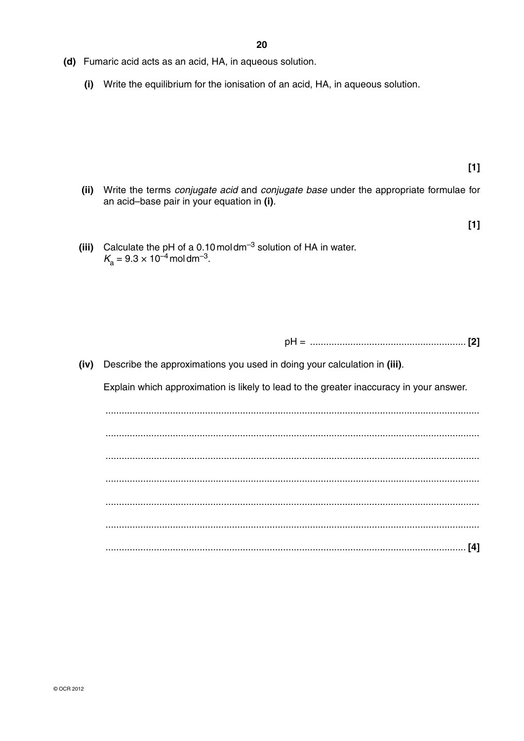- (d) Fumaric acid acts as an acid, HA, in aqueous solution.
	- (i) Write the equilibrium for the ionisation of an acid, HA, in aqueous solution.

(ii) Write the terms conjugate acid and conjugate base under the appropriate formulae for an acid-base pair in your equation in (i).

 $[1]$ 

 $[1]$ 

(iii) Calculate the pH of a  $0.10 \text{ mol dm}^{-3}$  solution of HA in water.  $K<sub>2</sub> = 9.3 \times 10^{-4}$  moldm<sup>-3</sup>.

(iv) Describe the approximations you used in doing your calculation in (iii).

Explain which approximation is likely to lead to the greater inaccuracy in your answer.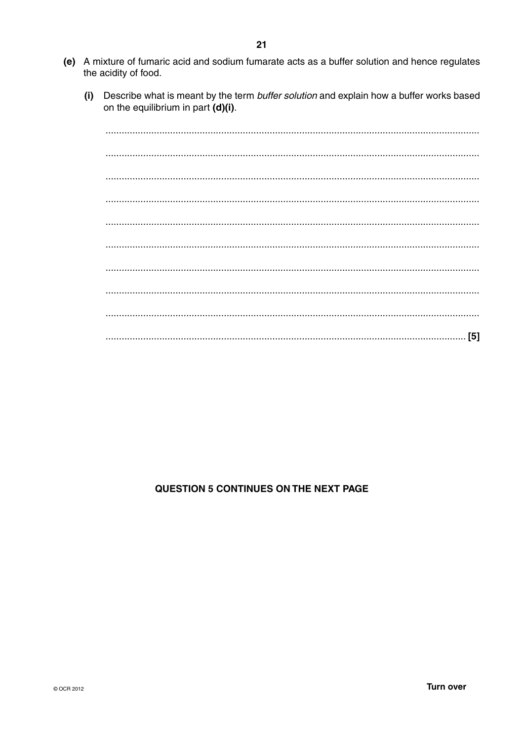- (e) A mixture of fumaric acid and sodium fumarate acts as a buffer solution and hence regulates the acidity of food.
	- (i) Describe what is meant by the term buffer solution and explain how a buffer works based on the equilibrium in part (d)(i).

# QUESTION 5 CONTINUES ON THE NEXT PAGE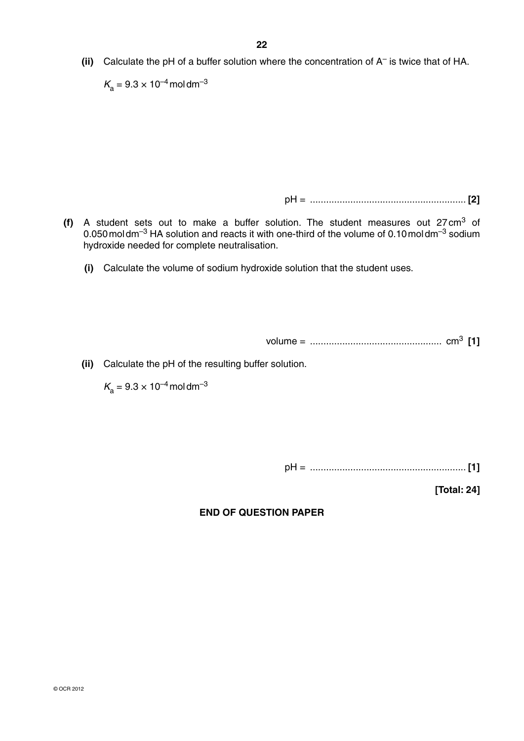**(ii)** Calculate the pH of a buffer solution where the concentration of A– is twice that of HA.

 $K_a = 9.3 \times 10^{-4}$  moldm<sup>-3</sup>

pH = .......................................................... **[2]**

- (f) A student sets out to make a buffer solution. The student measures out 27 cm<sup>3</sup> of 0.050 moldm<sup>-3</sup> HA solution and reacts it with one-third of the volume of 0.10 moldm<sup>-3</sup> sodium hydroxide needed for complete neutralisation.
	- **(i)** Calculate the volume of sodium hydroxide solution that the student uses.

volume = ................................................. cm<sup>3</sup> **[1]**

 **(ii)** Calculate the pH of the resulting buffer solution.

 $K_a = 9.3 \times 10^{-4}$  moldm<sup>-3</sup>

pH = .......................................................... **[1]**

**[Total: 24]**

# **END OF QUESTION PAPER**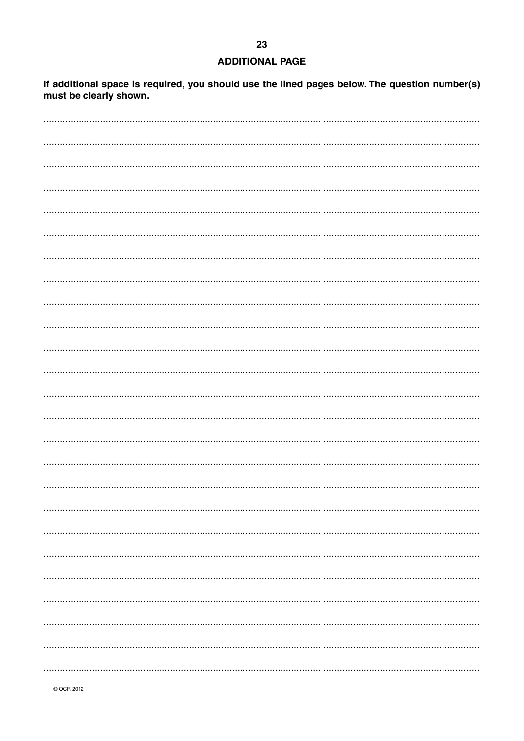### **ADDITIONAL PAGE**

If additional space is required, you should use the lined pages below. The question number(s) must be clearly shown.

© OCR 2012